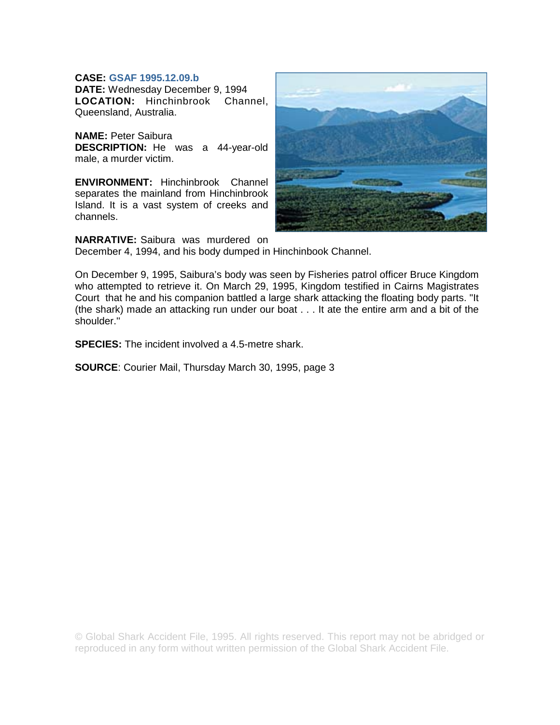## **CASE: GSAF 1995.12.09.b**

**DATE:** Wednesday December 9, 1994 **LOCATION:** Hinchinbrook Channel, Queensland, Australia.

**NAME:** Peter Saibura **DESCRIPTION:** He was a 44-year-old male, a murder victim.

**ENVIRONMENT:** Hinchinbrook Channel separates the mainland from Hinchinbrook Island. It is a vast system of creeks and channels.



**NARRATIVE:** Saibura was murdered on

December 4, 1994, and his body dumped in Hinchinbook Channel.

On December 9, 1995, Saibura's body was seen by Fisheries patrol officer Bruce Kingdom who attempted to retrieve it. On March 29, 1995, Kingdom testified in Cairns Magistrates Court that he and his companion battled a large shark attacking the floating body parts. "It (the shark) made an attacking run under our boat . . . It ate the entire arm and a bit of the shoulder.''

**SPECIES:** The incident involved a 4.5-metre shark.

**SOURCE**: Courier Mail, Thursday March 30, 1995, page 3

© Global Shark Accident File, 1995. All rights reserved. This report may not be abridged or reproduced in any form without written permission of the Global Shark Accident File.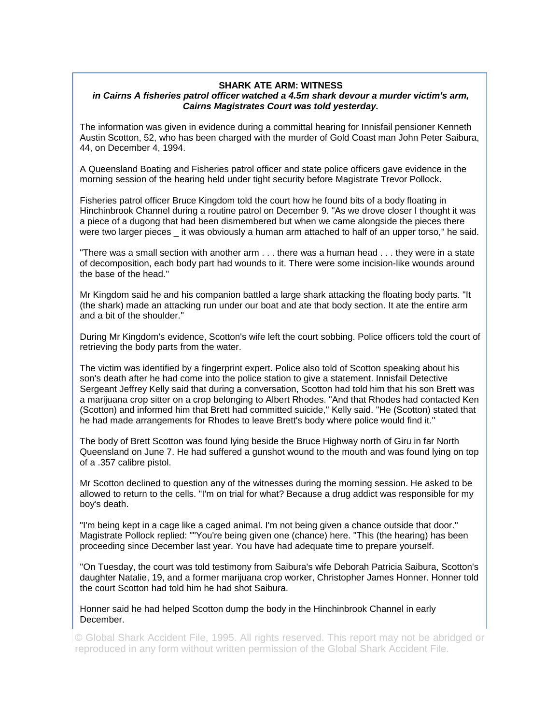## **SHARK ATE ARM: WITNESS**

## *in Cairns A fisheries patrol officer watched a 4.5m shark devour a murder victim's arm, Cairns Magistrates Court was told yesterday.*

The information was given in evidence during a committal hearing for Innisfail pensioner Kenneth Austin Scotton, 52, who has been charged with the murder of Gold Coast man John Peter Saibura, 44, on December 4, 1994.

A Queensland Boating and Fisheries patrol officer and state police officers gave evidence in the morning session of the hearing held under tight security before Magistrate Trevor Pollock.

Fisheries patrol officer Bruce Kingdom told the court how he found bits of a body floating in Hinchinbrook Channel during a routine patrol on December 9. "As we drove closer I thought it was a piece of a dugong that had been dismembered but when we came alongside the pieces there were two larger pieces it was obviously a human arm attached to half of an upper torso," he said.

"There was a small section with another arm . . . there was a human head . . . they were in a state of decomposition, each body part had wounds to it. There were some incision-like wounds around the base of the head.''

Mr Kingdom said he and his companion battled a large shark attacking the floating body parts. "It (the shark) made an attacking run under our boat and ate that body section. It ate the entire arm and a bit of the shoulder.''

During Mr Kingdom's evidence, Scotton's wife left the court sobbing. Police officers told the court of retrieving the body parts from the water.

The victim was identified by a fingerprint expert. Police also told of Scotton speaking about his son's death after he had come into the police station to give a statement. Innisfail Detective Sergeant Jeffrey Kelly said that during a conversation, Scotton had told him that his son Brett was a marijuana crop sitter on a crop belonging to Albert Rhodes. "And that Rhodes had contacted Ken (Scotton) and informed him that Brett had committed suicide,'' Kelly said. "He (Scotton) stated that he had made arrangements for Rhodes to leave Brett's body where police would find it.''

The body of Brett Scotton was found lying beside the Bruce Highway north of Giru in far North Queensland on June 7. He had suffered a gunshot wound to the mouth and was found lying on top of a .357 calibre pistol.

Mr Scotton declined to question any of the witnesses during the morning session. He asked to be allowed to return to the cells. "I'm on trial for what? Because a drug addict was responsible for my boy's death.

"I'm being kept in a cage like a caged animal. I'm not being given a chance outside that door.'' Magistrate Pollock replied: ""You're being given one (chance) here. "This (the hearing) has been proceeding since December last year. You have had adequate time to prepare yourself.

''On Tuesday, the court was told testimony from Saibura's wife Deborah Patricia Saibura, Scotton's daughter Natalie, 19, and a former marijuana crop worker, Christopher James Honner. Honner told the court Scotton had told him he had shot Saibura.

Honner said he had helped Scotton dump the body in the Hinchinbrook Channel in early December.

© Global Shark Accident File, 1995. All rights reserved. This report may not be abridged or reproduced in any form without written permission of the Global Shark Accident File.